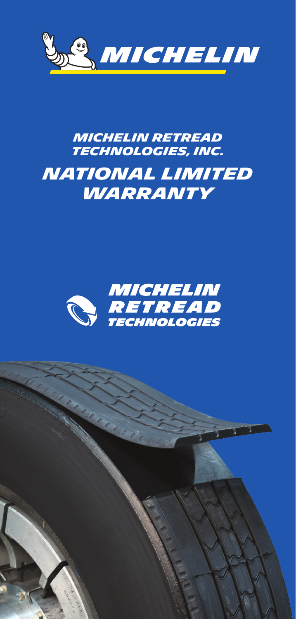

# *MICHELIN RETREAD TECHNOLOGIES, INC. National Limited Warranty*



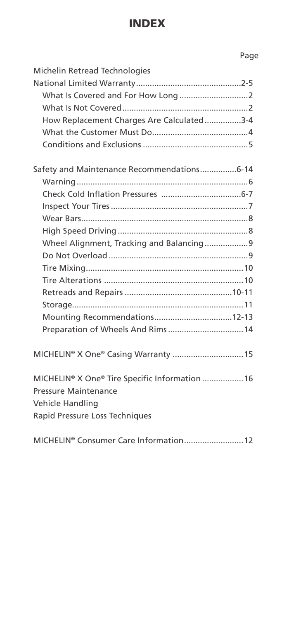## INDEX

## Page

| Michelin Retread Technologies                     |
|---------------------------------------------------|
|                                                   |
|                                                   |
|                                                   |
| How Replacement Charges Are Calculated3-4         |
|                                                   |
|                                                   |
| Safety and Maintenance Recommendations6-14        |
|                                                   |
|                                                   |
|                                                   |
|                                                   |
|                                                   |
| Wheel Alignment, Tracking and Balancing9          |
|                                                   |
|                                                   |
|                                                   |
|                                                   |
|                                                   |
| Mounting Recommendations12-13                     |
| Preparation of Wheels And Rims 14                 |
| MICHELIN <sup>®</sup> X One® Casing Warranty  15  |
| MICHELIN® X One® Tire Specific Information  16    |
| <b>Pressure Maintenance</b>                       |
| Vehicle Handling                                  |
| Rapid Pressure Loss Techniques                    |
| MICHELIN <sup>®</sup> Consumer Care Information12 |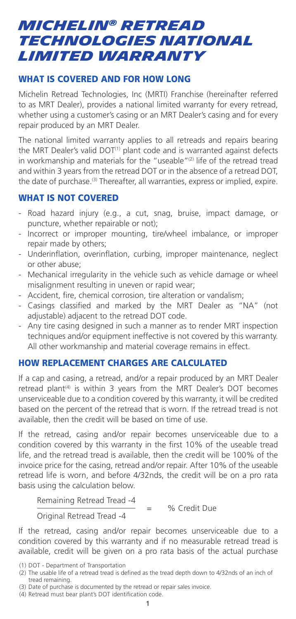## *MICHELIN® RETREAD TECHNOLOGIES NATIONAL LIMITED WARRANTY*

## WHAT IS COVERED AND FOR HOW LONG

Michelin Retread Technologies, Inc (MRTI) Franchise (hereinafter referred to as MRT Dealer), provides a national limited warranty for every retread, whether using a customer's casing or an MRT Dealer's casing and for every repair produced by an MRT Dealer.

The national limited warranty applies to all retreads and repairs bearing the MRT Dealer's valid DOT<sup>(1)</sup> plant code and is warranted against defects in workmanship and materials for the "useable"<sup>(2)</sup> life of the retread tread and within 3 years from the retread DOT or in the absence of a retread DOT, the date of purchase.<sup>(3)</sup> Thereafter, all warranties, express or implied, expire.

#### WHAT IS NOT COVERED

- Road hazard injury (e.g., a cut, snag, bruise, impact damage, or puncture, whether repairable or not);
- Incorrect or improper mounting, tire/wheel imbalance, or improper repair made by others;
- Underinflation, overinflation, curbing, improper maintenance, neglect or other abuse;
- Mechanical irregularity in the vehicle such as vehicle damage or wheel misalignment resulting in uneven or rapid wear;
- Accident, fire, chemical corrosion, tire alteration or vandalism;
- Casings classified and marked by the MRT Dealer as "NA" (not adjustable) adjacent to the retread DOT code.
- Any tire casing designed in such a manner as to render MRT inspection techniques and/or equipment ineffective is not covered by this warranty. All other workmanship and material coverage remains in effect.

#### HOW REPLACEMENT CHARGES ARE CALCULATED

If a cap and casing, a retread, and/or a repair produced by an MRT Dealer retread plant<sup>(4)</sup> is within 3 years from the MRT Dealer's DOT becomes unserviceable due to a condition covered by this warranty, it will be credited based on the percent of the retread that is worn. If the retread tread is not available, then the credit will be based on time of use.

If the retread, casing and/or repair becomes unserviceable due to a condition covered by this warranty in the first 10% of the useable tread life, and the retread tread is available, then the credit will be 100% of the invoice price for the casing, retread and/or repair. After 10% of the useable retread life is worn, and before 4/32nds, the credit will be on a pro rata basis using the calculation below.

Remaining Retread Tread -4<br>  $\frac{4}{1}$  = % Credit Due Original Retread Tread -4

If the retread, casing and/or repair becomes unserviceable due to a condition covered by this warranty and if no measurable retread tread is available, credit will be given on a pro rata basis of the actual purchase

<sup>(1)</sup> DOT - Department of Transportation

<sup>(2)</sup> The usable life of a retread tread is defined as the tread depth down to 4/32nds of an inch of tread remaining.

<sup>(3)</sup> Date of purchase is documented by the retread or repair sales invoice.

<sup>(4)</sup> Retread must bear plant's DOT identification code.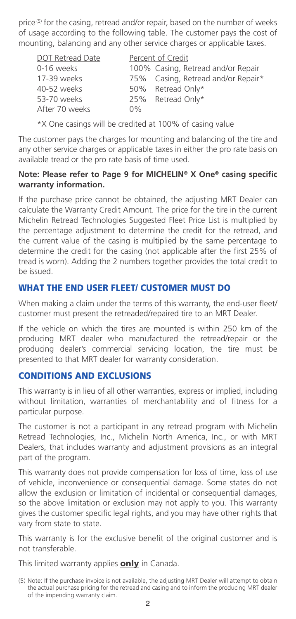price<sup>(5)</sup> for the casing, retread and/or repair, based on the number of weeks of usage according to the following table. The customer pays the cost of mounting, balancing and any other service charges or applicable taxes.

| DOT Retread Date |       | Percent of Credit                  |
|------------------|-------|------------------------------------|
| 0-16 weeks       |       | 100% Casing, Retread and/or Repair |
| 17-39 weeks      |       | 75% Casing, Retread and/or Repair* |
| 40-52 weeks      |       | 50% Retread Only*                  |
| 53-70 weeks      |       | 25% Retread Only*                  |
| After 70 weeks   | $0\%$ |                                    |

\*X One casings will be credited at 100% of casing value

The customer pays the charges for mounting and balancing of the tire and any other service charges or applicable taxes in either the pro rate basis on available tread or the pro rate basis of time used.

#### **Note: Please refer to Page 9 for MICHELIN® X One® casing specific warranty information.**

If the purchase price cannot be obtained, the adjusting MRT Dealer can calculate the Warranty Credit Amount. The price for the tire in the current Michelin Retread Technologies Suggested Fleet Price List is multiplied by the percentage adjustment to determine the credit for the retread, and the current value of the casing is multiplied by the same percentage to determine the credit for the casing (not applicable after the first 25% of tread is worn). Adding the 2 numbers together provides the total credit to be issued.

## WHAT THE END USER FLEET/ CUSTOMER MUST DO

When making a claim under the terms of this warranty, the end-user fleet/ customer must present the retreaded/repaired tire to an MRT Dealer.

If the vehicle on which the tires are mounted is within 250 km of the producing MRT dealer who manufactured the retread/repair or the producing dealer's commercial servicing location, the tire must be presented to that MRT dealer for warranty consideration.

#### CONDITIONS AND EXCLUSIONS

This warranty is in lieu of all other warranties, express or implied, including without limitation, warranties of merchantability and of fitness for a particular purpose.

The customer is not a participant in any retread program with Michelin Retread Technologies, Inc., Michelin North America, Inc., or with MRT Dealers, that includes warranty and adjustment provisions as an integral part of the program.

This warranty does not provide compensation for loss of time, loss of use of vehicle, inconvenience or consequential damage. Some states do not allow the exclusion or limitation of incidental or consequential damages, so the above limitation or exclusion may not apply to you. This warranty gives the customer specific legal rights, and you may have other rights that vary from state to state.

This warranty is for the exclusive benefit of the original customer and is not transferable.

This limited warranty applies **only** in Canada.

<sup>(5)</sup> Note: If the purchase invoice is not available, the adjusting MRT Dealer will attempt to obtain the actual purchase pricing for the retread and casing and to inform the producing MRT dealer of the impending warranty claim.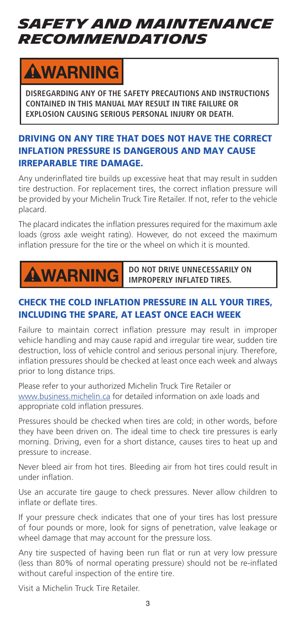# *SAFETY AND MAINTENANCE RECOMMENDATIONS*

# **AWARNING**

**DISREGARDING ANY OF THE SAFETY PRECAUTIONS AND INSTRUCTIONS CONTAINED IN THIS MANUAL MAY RESULT IN TIRE FAILURE OR EXPLOSION CAUSING SERIOUS PERSONAL INJURY OR DEATH.**

## DRIVING ON ANY TIRE THAT DOES NOT HAVE THE CORRECT INFLATION PRESSURE IS DANGEROUS AND MAY CAUSE IRREPARABLE TIRE DAMAGE.

Any underinflated tire builds up excessive heat that may result in sudden tire destruction. For replacement tires, the correct inflation pressure will be provided by your Michelin Truck Tire Retailer. If not, refer to the vehicle placard.

The placard indicates the inflation pressures required for the maximum axle loads (gross axle weight rating). However, do not exceed the maximum inflation pressure for the tire or the wheel on which it is mounted.

# **AWARNING**

**DO NOT DRIVE UNNECESSARILY ON IMPROPERLY INFLATED TIRES.**

## CHECK THE COLD INFLATION PRESSURE IN ALL YOUR TIRES, INCLUDING THE SPARE, AT LEAST ONCE EACH WEEK

Failure to maintain correct inflation pressure may result in improper vehicle handling and may cause rapid and irregular tire wear, sudden tire destruction, loss of vehicle control and serious personal injury. Therefore, inflation pressures should be checked at least once each week and always prior to long distance trips.

Please refer to your authorized Michelin Truck Tire Retailer or www.business.michelin.ca for detailed information on axle loads and appropriate cold inflation pressures.

Pressures should be checked when tires are cold; in other words, before they have been driven on. The ideal time to check tire pressures is early morning. Driving, even for a short distance, causes tires to heat up and pressure to increase.

Never bleed air from hot tires. Bleeding air from hot tires could result in under inflation.

Use an accurate tire gauge to check pressures. Never allow children to inflate or deflate tires.

If your pressure check indicates that one of your tires has lost pressure of four pounds or more, look for signs of penetration, valve leakage or wheel damage that may account for the pressure loss.

Any tire suspected of having been run flat or run at very low pressure (less than 80% of normal operating pressure) should not be re-inflated without careful inspection of the entire tire.

Visit a Michelin Truck Tire Retailer.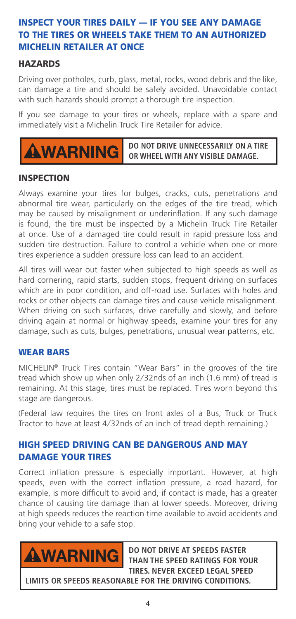## INSPECT YOUR TIRES DAILY — IF YOU SEE ANY DAMAGE TO THE TIRES OR WHEELS TAKE THEM TO AN AUTHORIZED MICHELIN RETAILER AT ONCE

## **HAZARDS**

Driving over potholes, curb, glass, metal, rocks, wood debris and the like, can damage a tire and should be safely avoided. Unavoidable contact with such hazards should prompt a thorough tire inspection.

If you see damage to your tires or wheels, replace with a spare and immediately visit a Michelin Truck Tire Retailer for advice.



**DO NOT DRIVE UNNECESSARILY ON A TIRE OR WHEEL WITH ANY VISIBLE DAMAGE.**

#### **INSPECTION**

Always examine your tires for bulges, cracks, cuts, penetrations and abnormal tire wear, particularly on the edges of the tire tread, which may be caused by misalignment or underinflation. If any such damage is found, the tire must be inspected by a Michelin Truck Tire Retailer at once. Use of a damaged tire could result in rapid pressure loss and sudden tire destruction. Failure to control a vehicle when one or more tires experience a sudden pressure loss can lead to an accident.

All tires will wear out faster when subjected to high speeds as well as hard cornering, rapid starts, sudden stops, frequent driving on surfaces which are in poor condition, and off-road use. Surfaces with holes and rocks or other objects can damage tires and cause vehicle misalignment. When driving on such surfaces, drive carefully and slowly, and before driving again at normal or highway speeds, examine your tires for any damage, such as cuts, bulges, penetrations, unusual wear patterns, etc.

#### WEAR BARS

MICHELIN® Truck Tires contain "Wear Bars" in the grooves of the tire tread which show up when only 2/32nds of an inch (1.6 mm) of tread is remaining. At this stage, tires must be replaced. Tires worn beyond this stage are dangerous.

(Federal law requires the tires on front axles of a Bus, Truck or Truck Tractor to have at least 4/32nds of an inch of tread depth remaining.)

## HIGH SPEED DRIVING CAN BE DANGEROUS AND MAY DAMAGE YOUR TIRES

Correct inflation pressure is especially important. However, at high speeds, even with the correct inflation pressure, a road hazard, for example, is more difficult to avoid and, if contact is made, has a greater chance of causing tire damage than at lower speeds. Moreover, driving at high speeds reduces the reaction time available to avoid accidents and bring your vehicle to a safe stop.



**DO NOT DRIVE AT SPEEDS FASTER THAN THE SPEED RATINGS FOR YOUR TIRES. NEVER EXCEED LEGAL SPEED LIMITS OR SPEEDS REASONABLE FOR THE DRIVING CONDITIONS.**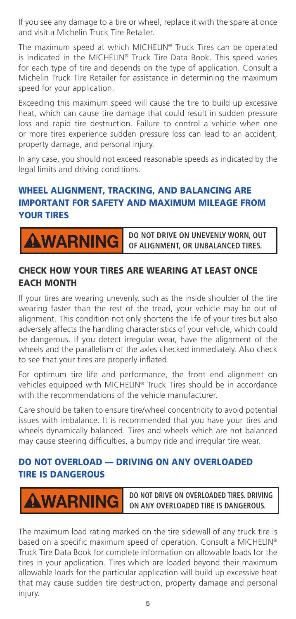If you see any damage to a tire or wheel, replace it with the spare at once and visit a Michelin Truck Tire Retailer.

The maximum speed at which MICHELIN® Truck Tires can be operated is indicated in the MICHELIN® Truck Tire Data Book. This speed varies for each type of tire and depends on the type of application. Consult a Michelin Truck Tire Retailer for assistance in determining the maximum speed for your application.

Exceeding this maximum speed will cause the tire to build up excessive heat, which can cause tire damage that could result in sudden pressure loss and rapid tire destruction. Failure to control a vehicle when one or more tires experience sudden pressure loss can lead to an accident, property damage, and personal injury.

In any case, you should not exceed reasonable speeds as indicated by the legal limits and driving conditions.

## WHEEL ALIGNMENT, TRACKING, AND BALANCING ARE IMPORTANT FOR SAFETY AND MAXIMUM MILEAGE FROM YOUR TIRES

**WARNING** 

**DO NOT DRIVE ON UNEVENLY WORN, OUT OF ALIGNMENT, OR UNBALANCED TIRES.**

## CHECK HOW YOUR TIRES ARE WEARING AT LEAST ONCE EACH MONTH

If your tires are wearing unevenly, such as the inside shoulder of the tire wearing faster than the rest of the tread, your vehicle may be out of alignment. This condition not only shortens the life of your tires but also adversely affects the handling characteristics of your vehicle, which could be dangerous. If you detect irregular wear, have the alignment of the wheels and the parallelism of the axles checked immediately. Also check to see that your tires are properly inflated.

For optimum tire life and performance, the front end alignment on vehicles equipped with MICHELIN® Truck Tires should be in accordance with the recommendations of the vehicle manufacturer.

Care should be taken to ensure tire/wheel concentricity to avoid potential issues with imbalance. It is recommended that you have your tires and wheels dynamically balanced. Tires and wheels which are not balanced may cause steering difficulties, a bumpy ride and irregular tire wear.

## DO NOT OVERLOAD — DRIVING ON ANY OVERLOADED TIRE IS DANGEROUS

**WARNING** 

**DO NOT DRIVE ON OVERLOADED TIRES. DRIVING ON ANY OVERLOADED TIRE IS DANGEROUS.**

The maximum load rating marked on the tire sidewall of any truck tire is based on a specific maximum speed of operation. Consult a MICHELIN® Truck Tire Data Book for complete information on allowable loads for the tires in your application. Tires which are loaded beyond their maximum allowable loads for the particular application will build up excessive heat that may cause sudden tire destruction, property damage and personal injury.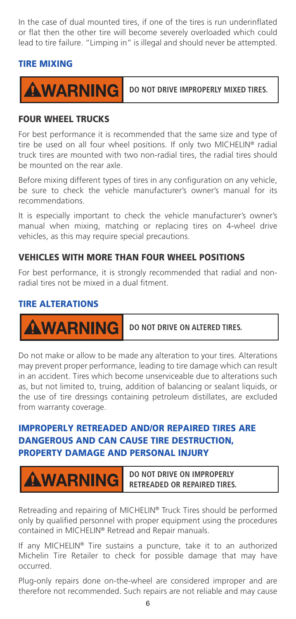In the case of dual mounted tires, if one of the tires is run underinflated or flat then the other tire will become severely overloaded which could lead to tire failure. "Limping in" is illegal and should never be attempted.

#### TIRE MIXING



**DO NOT DRIVE IMPROPERLY MIXED TIRES.**

#### FOUR WHEEL TRUCKS

For best performance it is recommended that the same size and type of tire be used on all four wheel positions. If only two MICHELIN® radial truck tires are mounted with two non-radial tires, the radial tires should be mounted on the rear axle.

Before mixing different types of tires in any configuration on any vehicle, be sure to check the vehicle manufacturer's owner's manual for its recommendations.

It is especially important to check the vehicle manufacturer's owner's manual when mixing, matching or replacing tires on 4-wheel drive vehicles, as this may require special precautions.

#### VEHICLES WITH MORE THAN FOUR WHEEL POSITIONS

For best performance, it is strongly recommended that radial and nonradial tires not be mixed in a dual fitment.

#### TIRE ALTERATIONS

**WARNING** 

**DO NOT DRIVE ON ALTERED TIRES.**

Do not make or allow to be made any alteration to your tires. Alterations may prevent proper performance, leading to tire damage which can result in an accident. Tires which become unserviceable due to alterations such as, but not limited to, truing, addition of balancing or sealant liquids, or the use of tire dressings containing petroleum distillates, are excluded from warranty coverage.

## IMPROPERLY RETREADED AND/OR REPAIRED TIRES ARE DANGEROUS AND CAN CAUSE TIRE DESTRUCTION, PROPERTY DAMAGE AND PERSONAL INJURY

**AWARNING** 

**DO NOT DRIVE ON IMPROPERLY RETREADED OR REPAIRED TIRES.**

Retreading and repairing of MICHELIN® Truck Tires should be performed only by qualified personnel with proper equipment using the procedures contained in MICHELIN® Retread and Repair manuals.

If any MICHELIN® Tire sustains a puncture, take it to an authorized Michelin Tire Retailer to check for possible damage that may have occurred.

Plug-only repairs done on-the-wheel are considered improper and are therefore not recommended. Such repairs are not reliable and may cause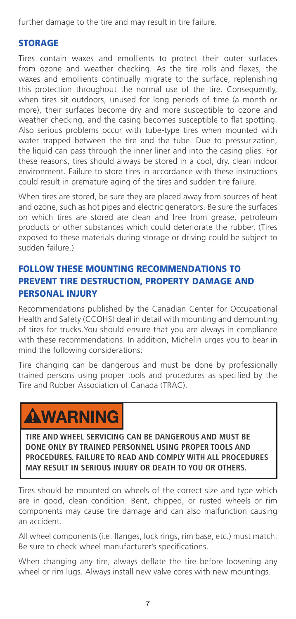further damage to the tire and may result in tire failure.

## STORAGE

Tires contain waxes and emollients to protect their outer surfaces from ozone and weather checking. As the tire rolls and flexes, the waxes and emollients continually migrate to the surface, replenishing this protection throughout the normal use of the tire. Consequently, when tires sit outdoors, unused for long periods of time (a month or more), their surfaces become dry and more susceptible to ozone and weather checking, and the casing becomes susceptible to flat spotting. Also serious problems occur with tube-type tires when mounted with water trapped between the tire and the tube. Due to pressurization, the liquid can pass through the inner liner and into the casing plies. For these reasons, tires should always be stored in a cool, dry, clean indoor environment. Failure to store tires in accordance with these instructions could result in premature aging of the tires and sudden tire failure.

When tires are stored, be sure they are placed away from sources of heat and ozone, such as hot pipes and electric generators. Be sure the surfaces on which tires are stored are clean and free from grease, petroleum products or other substances which could deteriorate the rubber. (Tires exposed to these materials during storage or driving could be subject to sudden failure.)

## FOLLOW THESE MOUNTING RECOMMENDATIONS TO PREVENT TIRE DESTRUCTION, PROPERTY DAMAGE AND PERSONAL INJURY

Recommendations published by the Canadian Center for Occupational Health and Safety (CCOHS) deal in detail with mounting and demounting of tires for trucks.You should ensure that you are always in compliance with these recommendations. In addition, Michelin urges you to bear in mind the following considerations:

Tire changing can be dangerous and must be done by professionally trained persons using proper tools and procedures as specified by the Tire and Rubber Association of Canada (TRAC).

# **AWARNING**

**TIRE AND WHEEL SERVICING CAN BE DANGEROUS AND MUST BE DONE ONLY BY TRAINED PERSONNEL USING PROPER TOOLS AND PROCEDURES. FAILURE TO READ AND COMPLY WITH ALL PROCEDURES MAY RESULT IN SERIOUS INJURY OR DEATH TO YOU OR OTHERS.**

Tires should be mounted on wheels of the correct size and type which are in good, clean condition. Bent, chipped, or rusted wheels or rim components may cause tire damage and can also malfunction causing an accident.

All wheel components (i.e. flanges, lock rings, rim base, etc.) must match. Be sure to check wheel manufacturer's specifications.

When changing any tire, always deflate the tire before loosening any wheel or rim lugs. Always install new valve cores with new mountings.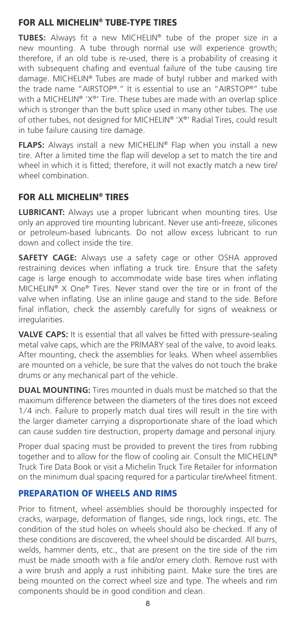## FOR ALL MICHELIN® TUBE-TYPE TIRES

**TUBES:** Always fit a new MICHELIN® tube of the proper size in a new mounting. A tube through normal use will experience growth; therefore, if an old tube is re-used, there is a probability of creasing it with subsequent chafing and eventual failure of the tube causing tire damage. MICHELIN® Tubes are made of butyl rubber and marked with the trade name "AIRSTOP®." It is essential to use an "AIRSTOP®" tube with a MICHELIN® 'X®' Tire. These tubes are made with an overlap splice which is stronger than the butt splice used in many other tubes. The use of other tubes, not designed for MICHELIN® 'X®' Radial Tires, could result in tube failure causing tire damage.

**FLAPS:** Always install a new MICHELIN® Flap when you install a new tire. After a limited time the flap will develop a set to match the tire and wheel in which it is fitted; therefore, it will not exactly match a new tire/ wheel combination.

## FOR ALL MICHELIN® TIRES

**LUBRICANT:** Always use a proper lubricant when mounting tires. Use only an approved tire mounting lubricant. Never use anti-freeze, silicones or petroleum-based lubricants. Do not allow excess lubricant to run down and collect inside the tire.

**SAFETY CAGE:** Always use a safety cage or other OSHA approved restraining devices when inflating a truck tire. Ensure that the safety cage is large enough to accommodate wide base tires when inflating MICHELIN® X One® Tires. Never stand over the tire or in front of the valve when inflating. Use an inline gauge and stand to the side. Before final inflation, check the assembly carefully for signs of weakness or irregularities.

**VALVE CAPS:** It is essential that all valves be fitted with pressure-sealing metal valve caps, which are the PRIMARY seal of the valve, to avoid leaks. After mounting, check the assemblies for leaks. When wheel assemblies are mounted on a vehicle, be sure that the valves do not touch the brake drums or any mechanical part of the vehicle.

**DUAL MOUNTING:** Tires mounted in duals must be matched so that the maximum difference between the diameters of the tires does not exceed 1/4 inch. Failure to properly match dual tires will result in the tire with the larger diameter carrying a disproportionate share of the load which can cause sudden tire destruction, property damage and personal injury.

Proper dual spacing must be provided to prevent the tires from rubbing together and to allow for the flow of cooling air. Consult the MICHELIN® Truck Tire Data Book or visit a Michelin Truck Tire Retailer for information on the minimum dual spacing required for a particular tire/wheel fitment.

#### PREPARATION OF WHEELS AND RIMS

Prior to fitment, wheel assemblies should be thoroughly inspected for cracks, warpage, deformation of flanges, side rings, lock rings, etc. The condition of the stud holes on wheels should also be checked. If any of these conditions are discovered, the wheel should be discarded. All burrs, welds, hammer dents, etc., that are present on the tire side of the rim must be made smooth with a file and/or emery cloth. Remove rust with a wire brush and apply a rust inhibiting paint. Make sure the tires are being mounted on the correct wheel size and type. The wheels and rim components should be in good condition and clean.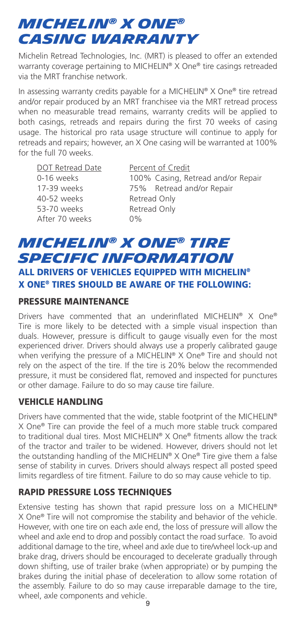# *MICHELIN® X ONE® casing warranty*

Michelin Retread Technologies, Inc. (MRT) is pleased to offer an extended warranty coverage pertaining to MICHELIN® X One® tire casings retreaded via the MRT franchise network.

In assessing warranty credits payable for a MICHELIN® X One® tire retread and/or repair produced by an MRT franchisee via the MRT retread process when no measurable tread remains, warranty credits will be applied to both casings, retreads and repairs during the first 70 weeks of casing usage. The historical pro rata usage structure will continue to apply for retreads and repairs; however, an X One casing will be warranted at 100% for the full 70 weeks.

DOT Retread Date Percent of Credit 40-52 weeks Retread Only 53-70 weeks Retread Only After 70 weeks 0%

0-16 weeks 100% Casing, Retread and/or Repair 17-39 weeks 75% Retread and/or Repair

## *MICHELIN® X ONE® TIRE SPECIFIC INFORMATION*  ALL DRIVERS OF VEHICLES EQUIPPED WITH MICHELIN® X ONE® TIRES SHOULD BE AWARE OF THE FOLLOWING:

#### PRESSURE MAINTENANCE

Drivers have commented that an underinflated MICHELIN® X One® Tire is more likely to be detected with a simple visual inspection than duals. However, pressure is difficult to gauge visually even for the most experienced driver. Drivers should always use a properly calibrated gauge when verifying the pressure of a MICHELIN® X One® Tire and should not rely on the aspect of the tire. If the tire is 20% below the recommended pressure, it must be considered flat, removed and inspected for punctures or other damage. Failure to do so may cause tire failure.

## VEHICLE HANDLING

Drivers have commented that the wide, stable footprint of the MICHELIN® X One® Tire can provide the feel of a much more stable truck compared to traditional dual tires. Most MICHELIN® X One® fitments allow the track of the tractor and trailer to be widened. However, drivers should not let the outstanding handling of the MICHELIN® X One® Tire give them a false sense of stability in curves. Drivers should always respect all posted speed limits regardless of tire fitment. Failure to do so may cause vehicle to tip.

## RAPID PRESSURE LOSS TECHNIQUES

9 wheel, axle components and vehicle.Extensive testing has shown that rapid pressure loss on a MICHELIN® X One® Tire will not compromise the stability and behavior of the vehicle. However, with one tire on each axle end, the loss of pressure will allow the wheel and axle end to drop and possibly contact the road surface. To avoid additional damage to the tire, wheel and axle due to tire/wheel lock-up and brake drag, drivers should be encouraged to decelerate gradually through down shifting, use of trailer brake (when appropriate) or by pumping the brakes during the initial phase of deceleration to allow some rotation of the assembly. Failure to do so may cause irreparable damage to the tire,